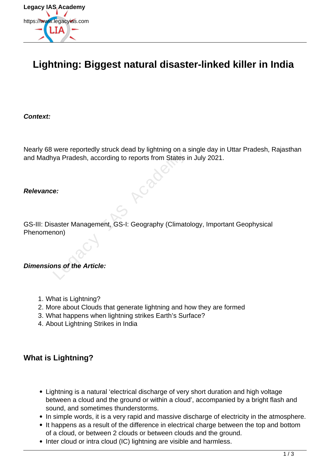

## **Lightning: Biggest natural disaster-linked killer in India**

**Context:**

Nearly 68 were reportedly struck dead by lightning on a single day in Uttar Pradesh, Rajasthan and Madhya Pradesh, according to reports from States in July 2021.

#### **Relevance:**

GS-III: Disaster Management, GS-I: Geography (Climatology, Important Geophysical Phenomenon) Were reportedly struck dead by lighting off a<br>va Pradesh, according to reports from States is<br>e.<br>e.<br>saster Management, GS-I: Geography (Climate<br>non)<br>ans of the Article:

### **Dimensions of the Article:**

- 1. What is Lightning?
- 2. More about Clouds that generate lightning and how they are formed
- 3. What happens when lightning strikes Earth's Surface?
- 4. About Lightning Strikes in India

### **What is Lightning?**

- Lightning is a natural 'electrical discharge of very short duration and high voltage between a cloud and the ground or within a cloud', accompanied by a bright flash and sound, and sometimes thunderstorms.
- In simple words, it is a very rapid and massive discharge of electricity in the atmosphere.
- It happens as a result of the difference in electrical charge between the top and bottom of a cloud, or between 2 clouds or between clouds and the ground.
- Inter cloud or intra cloud (IC) lightning are visible and harmless.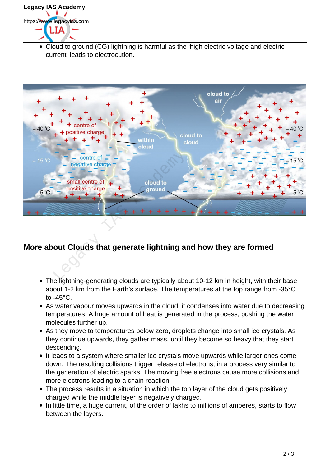# **Legacy IAS Academy** https://www.legacyias.com 1 T A

Cloud to ground (CG) lightning is harmful as the 'high electric voltage and electric current' leads to electrocution.



## **More about Clouds that generate lightning and how they are formed**

- The lightning-generating clouds are typically about 10-12 km in height, with their base about 1-2 km from the Earth's surface. The temperatures at the top range from -35°C to -45°C.
- As water vapour moves upwards in the cloud, it condenses into water due to decreasing temperatures. A huge amount of heat is generated in the process, pushing the water molecules further up.
- As they move to temperatures below zero, droplets change into small ice crystals. As they continue upwards, they gather mass, until they become so heavy that they start descending.
- It leads to a system where smaller ice crystals move upwards while larger ones come down. The resulting collisions trigger release of electrons, in a process very similar to the generation of electric sparks. The moving free electrons cause more collisions and more electrons leading to a chain reaction.
- The process results in a situation in which the top layer of the cloud gets positively charged while the middle layer is negatively charged.
- In little time, a huge current, of the order of lakhs to millions of amperes, starts to flow between the layers.